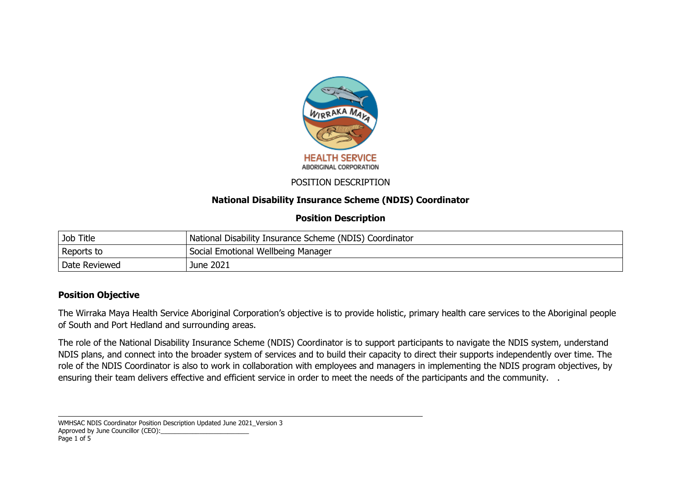

## POSITION DESCRIPTION

## **National Disability Insurance Scheme (NDIS) Coordinator**

## **Position Description**

| Job Title     | National Disability Insurance Scheme (NDIS) Coordinator |
|---------------|---------------------------------------------------------|
| Reports to    | Social Emotional Wellbeing Manager                      |
| Date Reviewed | June 2021                                               |

# **Position Objective**

The Wirraka Maya Health Service Aboriginal Corporation's objective is to provide holistic, primary health care services to the Aboriginal people of South and Port Hedland and surrounding areas.

The role of the National Disability Insurance Scheme (NDIS) Coordinator is to support participants to navigate the NDIS system, understand NDIS plans, and connect into the broader system of services and to build their capacity to direct their supports independently over time. The role of the NDIS Coordinator is also to work in collaboration with employees and managers in implementing the NDIS program objectives, by ensuring their team delivers effective and efficient service in order to meet the needs of the participants and the community. .

WMHSAC NDIS Coordinator Position Description Updated June 2021 Version 3 Approved by June Councillor (CEO): Page 1 of 5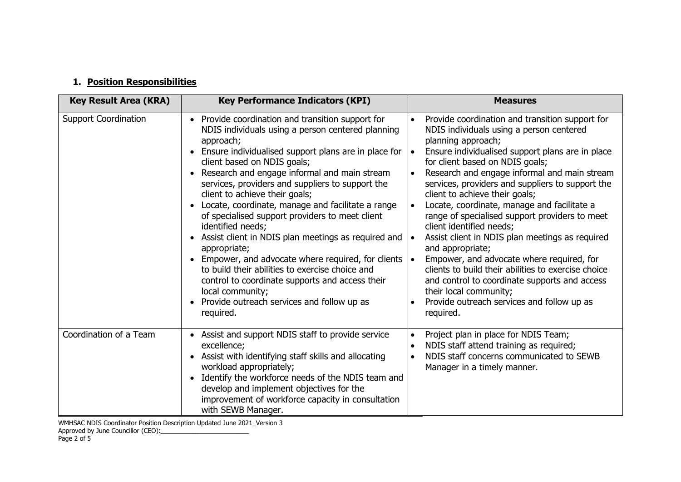# **1. Position Responsibilities**

| <b>Key Result Area (KRA)</b> | <b>Key Performance Indicators (KPI)</b>                                                                                                                                                                                                                                                                                                                                                                                                                                                                                                                                                                                                                                                                                                                                                      | <b>Measures</b>                                                                                                                                                                                                                                                                                                                                                                                                                                                                                                                                                                                                                                                                                                                                                                              |
|------------------------------|----------------------------------------------------------------------------------------------------------------------------------------------------------------------------------------------------------------------------------------------------------------------------------------------------------------------------------------------------------------------------------------------------------------------------------------------------------------------------------------------------------------------------------------------------------------------------------------------------------------------------------------------------------------------------------------------------------------------------------------------------------------------------------------------|----------------------------------------------------------------------------------------------------------------------------------------------------------------------------------------------------------------------------------------------------------------------------------------------------------------------------------------------------------------------------------------------------------------------------------------------------------------------------------------------------------------------------------------------------------------------------------------------------------------------------------------------------------------------------------------------------------------------------------------------------------------------------------------------|
| <b>Support Coordination</b>  | Provide coordination and transition support for<br>NDIS individuals using a person centered planning<br>approach;<br>Ensure individualised support plans are in place for<br>client based on NDIS goals;<br>Research and engage informal and main stream<br>services, providers and suppliers to support the<br>client to achieve their goals;<br>Locate, coordinate, manage and facilitate a range<br>of specialised support providers to meet client<br>identified needs;<br>Assist client in NDIS plan meetings as required and<br>appropriate;<br>Empower, and advocate where required, for clients<br>to build their abilities to exercise choice and<br>control to coordinate supports and access their<br>local community;<br>Provide outreach services and follow up as<br>required. | Provide coordination and transition support for<br>NDIS individuals using a person centered<br>planning approach;<br>Ensure individualised support plans are in place<br>for client based on NDIS goals;<br>Research and engage informal and main stream<br>services, providers and suppliers to support the<br>client to achieve their goals;<br>Locate, coordinate, manage and facilitate a<br>range of specialised support providers to meet<br>client identified needs;<br>Assist client in NDIS plan meetings as required<br>and appropriate;<br>Empower, and advocate where required, for<br>clients to build their abilities to exercise choice<br>and control to coordinate supports and access<br>their local community;<br>Provide outreach services and follow up as<br>required. |
| Coordination of a Team       | Assist and support NDIS staff to provide service<br>excellence;<br>Assist with identifying staff skills and allocating<br>workload appropriately;<br>Identify the workforce needs of the NDIS team and<br>develop and implement objectives for the<br>improvement of workforce capacity in consultation<br>with SEWB Manager.                                                                                                                                                                                                                                                                                                                                                                                                                                                                | Project plan in place for NDIS Team;<br>NDIS staff attend training as required;<br>NDIS staff concerns communicated to SEWB<br>Manager in a timely manner.                                                                                                                                                                                                                                                                                                                                                                                                                                                                                                                                                                                                                                   |

WMHSAC NDIS Coordinator Position Description Updated June 2021\_Version 3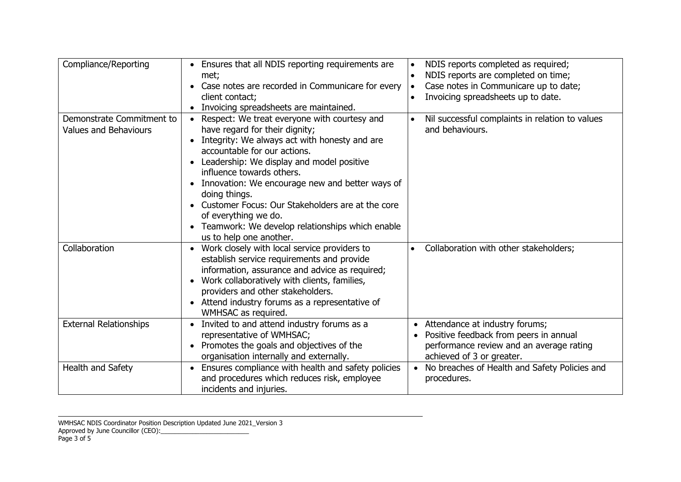| Compliance/Reporting          | Ensures that all NDIS reporting requirements are<br>met;<br>Case notes are recorded in Communicare for every<br>client contact;<br>Invoicing spreadsheets are maintained. | NDIS reports completed as required;<br>NDIS reports are completed on time;<br>Case notes in Communicare up to date;<br>Invoicing spreadsheets up to date. |
|-------------------------------|---------------------------------------------------------------------------------------------------------------------------------------------------------------------------|-----------------------------------------------------------------------------------------------------------------------------------------------------------|
| Demonstrate Commitment to     | Respect: We treat everyone with courtesy and                                                                                                                              | Nil successful complaints in relation to values                                                                                                           |
| <b>Values and Behaviours</b>  | have regard for their dignity;                                                                                                                                            | and behaviours.                                                                                                                                           |
|                               | Integrity: We always act with honesty and are                                                                                                                             |                                                                                                                                                           |
|                               | accountable for our actions.                                                                                                                                              |                                                                                                                                                           |
|                               | Leadership: We display and model positive<br>influence towards others.                                                                                                    |                                                                                                                                                           |
|                               | Innovation: We encourage new and better ways of                                                                                                                           |                                                                                                                                                           |
|                               | doing things.                                                                                                                                                             |                                                                                                                                                           |
|                               | Customer Focus: Our Stakeholders are at the core                                                                                                                          |                                                                                                                                                           |
|                               | of everything we do.                                                                                                                                                      |                                                                                                                                                           |
|                               | Teamwork: We develop relationships which enable<br>$\bullet$                                                                                                              |                                                                                                                                                           |
|                               | us to help one another.                                                                                                                                                   |                                                                                                                                                           |
| Collaboration                 | Work closely with local service providers to                                                                                                                              | Collaboration with other stakeholders;                                                                                                                    |
|                               | establish service requirements and provide                                                                                                                                |                                                                                                                                                           |
|                               | information, assurance and advice as required;                                                                                                                            |                                                                                                                                                           |
|                               | Work collaboratively with clients, families,<br>providers and other stakeholders.                                                                                         |                                                                                                                                                           |
|                               | Attend industry forums as a representative of                                                                                                                             |                                                                                                                                                           |
|                               | WMHSAC as required.                                                                                                                                                       |                                                                                                                                                           |
| <b>External Relationships</b> | Invited to and attend industry forums as a                                                                                                                                | Attendance at industry forums;                                                                                                                            |
|                               | representative of WMHSAC;                                                                                                                                                 | Positive feedback from peers in annual                                                                                                                    |
|                               | Promotes the goals and objectives of the                                                                                                                                  | performance review and an average rating                                                                                                                  |
|                               | organisation internally and externally.                                                                                                                                   | achieved of 3 or greater.                                                                                                                                 |
| Health and Safety             | Ensures compliance with health and safety policies                                                                                                                        | No breaches of Health and Safety Policies and                                                                                                             |
|                               | and procedures which reduces risk, employee                                                                                                                               | procedures.                                                                                                                                               |
|                               | incidents and injuries.                                                                                                                                                   |                                                                                                                                                           |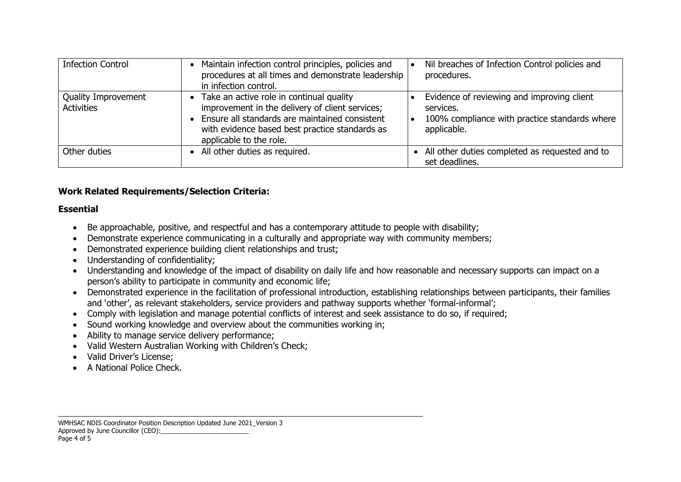| <b>Infection Control</b>                 | • Maintain infection control principles, policies and<br>procedures at all times and demonstrate leadership<br>in infection control.                                                                                           | Nil breaches of Infection Control policies and<br>procedures.                                                           |
|------------------------------------------|--------------------------------------------------------------------------------------------------------------------------------------------------------------------------------------------------------------------------------|-------------------------------------------------------------------------------------------------------------------------|
| Quality Improvement<br><b>Activities</b> | • Take an active role in continual quality<br>improvement in the delivery of client services;<br>• Ensure all standards are maintained consistent<br>with evidence based best practice standards as<br>applicable to the role. | Evidence of reviewing and improving client<br>services.<br>100% compliance with practice standards where<br>applicable. |
| Other duties                             | • All other duties as required.                                                                                                                                                                                                | All other duties completed as requested and to<br>set deadlines.                                                        |

### **Work Related Requirements/Selection Criteria:**

#### **Essential**

- Be approachable, positive, and respectful and has a contemporary attitude to people with disability;
- Demonstrate experience communicating in a culturally and appropriate way with community members;
- Demonstrated experience building client relationships and trust;
- Understanding of confidentiality;
- Understanding and knowledge of the impact of disability on daily life and how reasonable and necessary supports can impact on a person's ability to participate in community and economic life;
- Demonstrated experience in the facilitation of professional introduction, establishing relationships between participants, their families and 'other', as relevant stakeholders, service providers and pathway supports whether 'formal-informal';
- Comply with legislation and manage potential conflicts of interest and seek assistance to do so, if required;
- Sound working knowledge and overview about the communities working in;
- Ability to manage service delivery performance;
- Valid Western Australian Working with Children's Check;
- Valid Driver's License;
- A National Police Check.